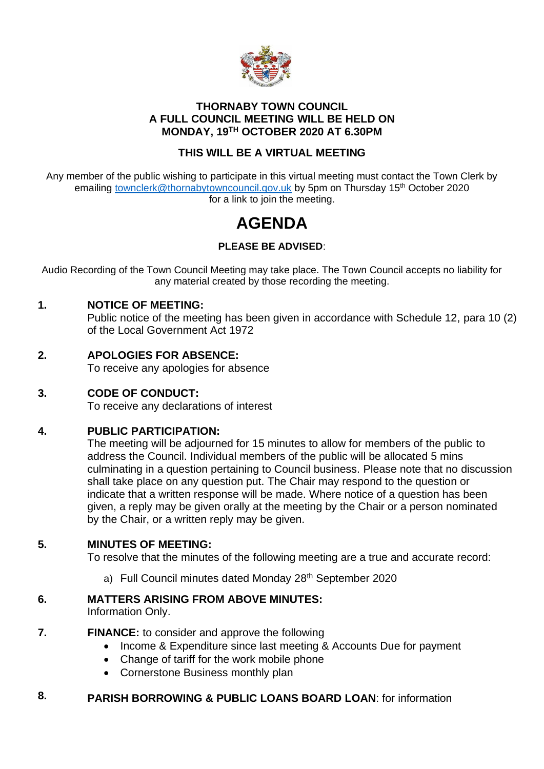

### **THORNABY TOWN COUNCIL A FULL COUNCIL MEETING WILL BE HELD ON MONDAY, 19TH OCTOBER 2020 AT 6.30PM**

# **THIS WILL BE A VIRTUAL MEETING**

Any member of the public wishing to participate in this virtual meeting must contact the Town Clerk by emailing [townclerk@thornabytowncouncil.gov.uk](mailto:townclerk@thornabytowncouncil.gov.uk) by 5pm on Thursday 15<sup>th</sup> October 2020 for a link to join the meeting.

# **AGENDA**

# **PLEASE BE ADVISED**:

Audio Recording of the Town Council Meeting may take place. The Town Council accepts no liability for any material created by those recording the meeting.

### **1. NOTICE OF MEETING:**

Public notice of the meeting has been given in accordance with Schedule 12, para 10 (2) of the Local Government Act 1972

## **2. APOLOGIES FOR ABSENCE:**

To receive any apologies for absence

### **3. CODE OF CONDUCT:**

To receive any declarations of interest

### **4. PUBLIC PARTICIPATION:**

The meeting will be adjourned for 15 minutes to allow for members of the public to address the Council. Individual members of the public will be allocated 5 mins culminating in a question pertaining to Council business. Please note that no discussion shall take place on any question put. The Chair may respond to the question or indicate that a written response will be made. Where notice of a question has been given, a reply may be given orally at the meeting by the Chair or a person nominated by the Chair, or a written reply may be given.

### **5. MINUTES OF MEETING:**

To resolve that the minutes of the following meeting are a true and accurate record:

a) Full Council minutes dated Monday 28<sup>th</sup> September 2020

### **6. MATTERS ARISING FROM ABOVE MINUTES:**

Information Only.

#### **7. FINANCE:** to consider and approve the following

- Income & Expenditure since last meeting & Accounts Due for payment
- Change of tariff for the work mobile phone
- Cornerstone Business monthly plan

#### **8. PARISH BORROWING & PUBLIC LOANS BOARD LOAN**: for information